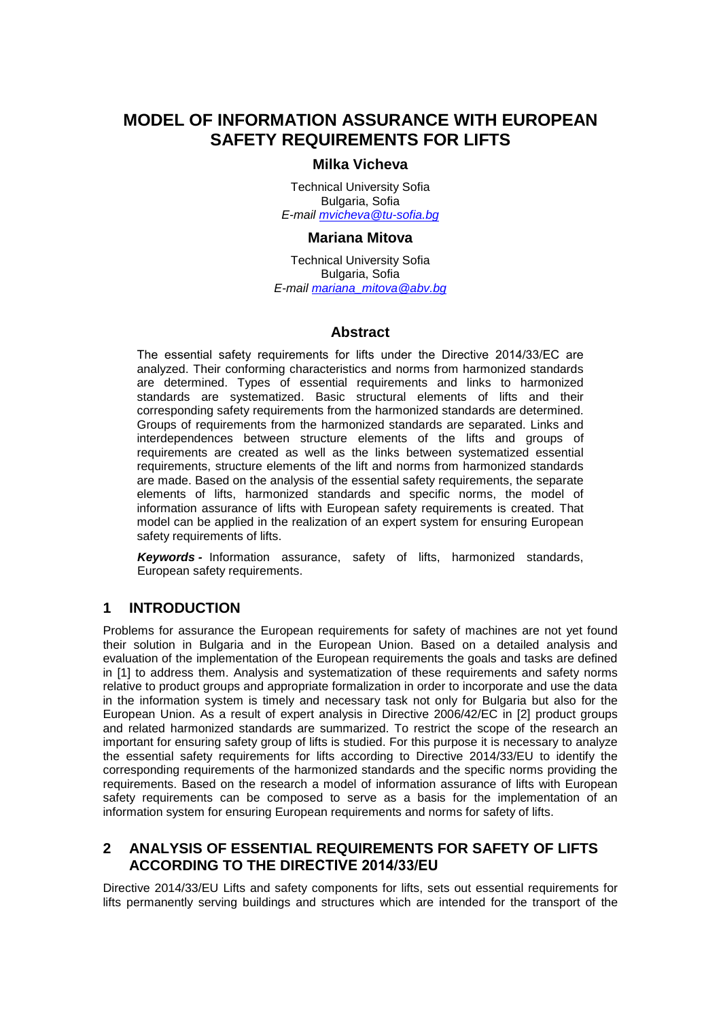# **MODEL OF INFORMATION ASSURANCE WITH EUROPEAN SAFETY REQUIREMENTS FOR LIFTS**

# **Milka Vicheva**

Technical University Sofia Bulgaria, Sofia *E-mail [mvicheva@tu-sofia.bg](mailto:mvicheva@tu-sofia.bg)*

### **Mariana Mitova**

Technical University Sofia Bulgaria, Sofia *E-mail [mariana\\_mitova@abv.bg](mailto:mariana_mitova@abv.bg)*

# **Abstract**

The essential safety requirements for lifts under the Directive 2014/33/EC are analyzed. Their conforming characteristics and norms from harmonized standards are determined. Types of essential requirements and links to harmonized standards are systematized. Basic structural elements of lifts and their corresponding safety requirements from the harmonized standards are determined. Groups of requirements from the harmonized standards are separated. Links and interdependences between structure elements of the lifts and groups of requirements are created as well as the links between systematized essential requirements, structure elements of the lift and norms from harmonized standards are made. Based on the analysis of the essential safety requirements, the separate elements of lifts, harmonized standards and specific norms, the model of information assurance of lifts with European safety requirements is created. That model can be applied in the realization of an expert system for ensuring European safety requirements of lifts.

*Keywords -* Information assurance, safety of lifts, harmonized standards, European safety requirements.

### **1 INTRODUCTION**

Problems for assurance the European requirements for safety of machines are not yet found their solution in Bulgaria and in the European Union. Based on a detailed analysis and evaluation of the implementation of the European requirements the goals and tasks are defined in [1] to address them. Analysis and systematization of these requirements and safety norms relative to product groups and appropriate formalization in order to incorporate and use the data in the information system is timely and necessary task not only for Bulgaria but also for the European Union. As a result of expert analysis in Directive 2006/42/EC in [2] product groups and related harmonized standards are summarized. To restrict the scope of the research an important for ensuring safety group of lifts is studied. For this purpose it is necessary to analyze the essential safety requirements for lifts according to Directive 2014/33/EU to identify the corresponding requirements of the harmonized standards and the specific norms providing the requirements. Based on the research a model of information assurance of lifts with European safety requirements can be composed to serve as a basis for the implementation of an information system for ensuring European requirements and norms for safety of lifts.

# **2 ANALYSIS OF ESSENTIAL REQUIREMENTS FOR SAFETY OF LIFTS ACCORDING TO THE DIRECTIVE 2014/33/ЕU**

Directive 2014/33/EU Lifts and safety components for lifts, sets out essential requirements for lifts permanently serving buildings and structures which are intended for the transport of the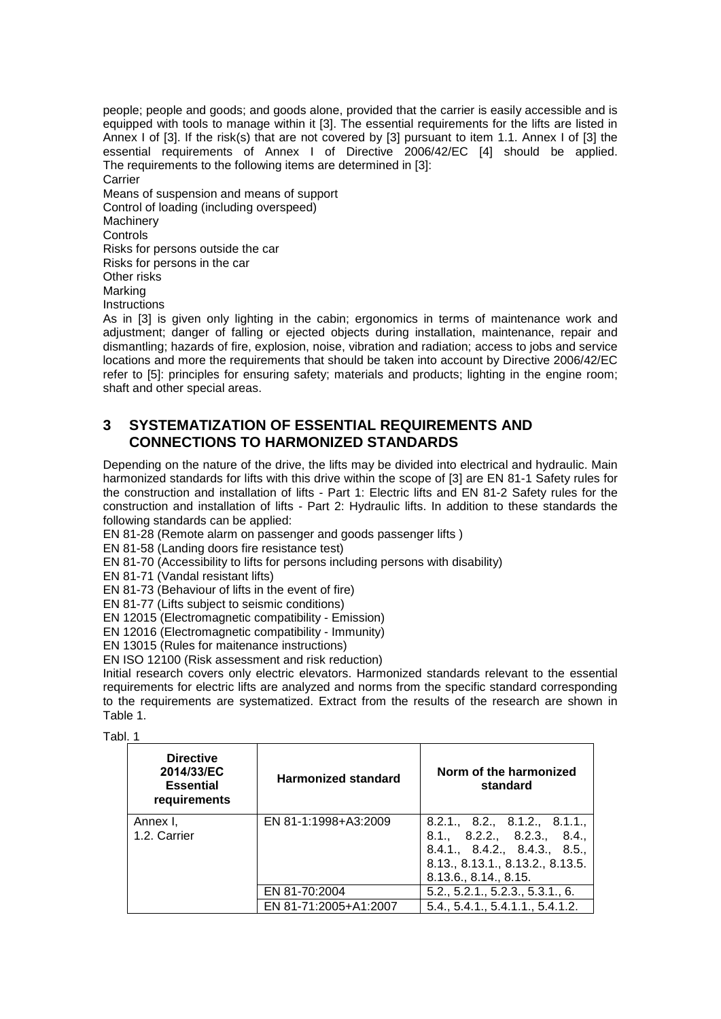people; people and goods; and goods alone, provided that the carrier is easily accessible and is equipped with tools to manage within it [3]. The essential requirements for the lifts are listed in Annex I of [3]. If the risk(s) that are not covered by [3] pursuant to item 1.1. Annex I of [3] the essential requirements of Annex I of Directive 2006/42/EC [4] should be applied. The requirements to the following items are determined in [3]: **Carrier** Means of suspension and means of support Control of loading (including overspeed) Machinery Controls Risks for persons outside the car Risks for persons in the car Other risks Marking **Instructions** 

As in [3] is given only lighting in the cabin; ergonomics in terms of maintenance work and adjustment; danger of falling or ejected objects during installation, maintenance, repair and dismantling; hazards of fire, explosion, noise, vibration and radiation; access to jobs and service locations and more the requirements that should be taken into account by Directive 2006/42/EC refer to [5]: principles for ensuring safety; materials and products; lighting in the engine room; shaft and other special areas.

# **3 SYSTEMATIZATION OF ESSENTIAL REQUIREMENTS AND CONNECTIONS TO HARMONIZED STANDARDS**

Depending on the nature of the drive, the lifts may be divided into electrical and hydraulic. Main harmonized standards for lifts with this drive within the scope of [3] are EN 81-1 Safety rules for the construction and installation of lifts - Part 1: Electric lifts and EN 81-2 Safety rules for the construction and installation of lifts - Part 2: Hydraulic lifts. In addition to these standards the following standards can be applied:

EN 81-28 (Remote alarm on passenger and goods passenger lifts )

EN 81-58 (Landing doors fire resistance test)

EN 81-70 (Accessibility to lifts for persons including persons with disability)

EN 81-71 (Vandal resistant lifts)

EN 81-73 (Behaviour of lifts in the event of fire)

EN 81-77 (Lifts subject to seismic conditions)

EN 12015 (Electromagnetic compatibility - Emission)

EN 12016 (Electromagnetic compatibility - Immunity)

EN 13015 (Rules for maitenance instructions)

EN ISO 12100 (Risk assessment and risk reduction)

Initial research covers only electric elevators. Harmonized standards relevant to the essential requirements for electric lifts are analyzed and norms from the specific standard corresponding to the requirements are systematized. Extract from the results of the research are shown in Table 1.

Tabl. 1

| <b>Directive</b><br>2014/33/EC<br><b>Essential</b><br>requirements | <b>Harmonized standard</b> | Norm of the harmonized<br>standard                                                                                                                                             |
|--------------------------------------------------------------------|----------------------------|--------------------------------------------------------------------------------------------------------------------------------------------------------------------------------|
| Annex I,<br>1.2. Carrier                                           | EN 81-1:1998+A3:2009       | $8.2.1$ ., $8.2$ ., $8.1.2$ ., $8.1.1$ .<br>8.1., 8.2.2., 8.2.3., 8.4.,<br>8.4.1., 8.4.2., 8.4.3., 8.5.,<br>8.13., 8.13.1., 8.13.2., 8.13.5.<br>$8.13.6$ ., $8.14$ ., $8.15$ . |
|                                                                    | EN 81-70:2004              | 5.2., 5.2.1., 5.2.3., 5.3.1., 6.                                                                                                                                               |
|                                                                    | EN 81-71:2005+A1:2007      | 5.4., 5.4.1., 5.4.1.1., 5.4.1.2.                                                                                                                                               |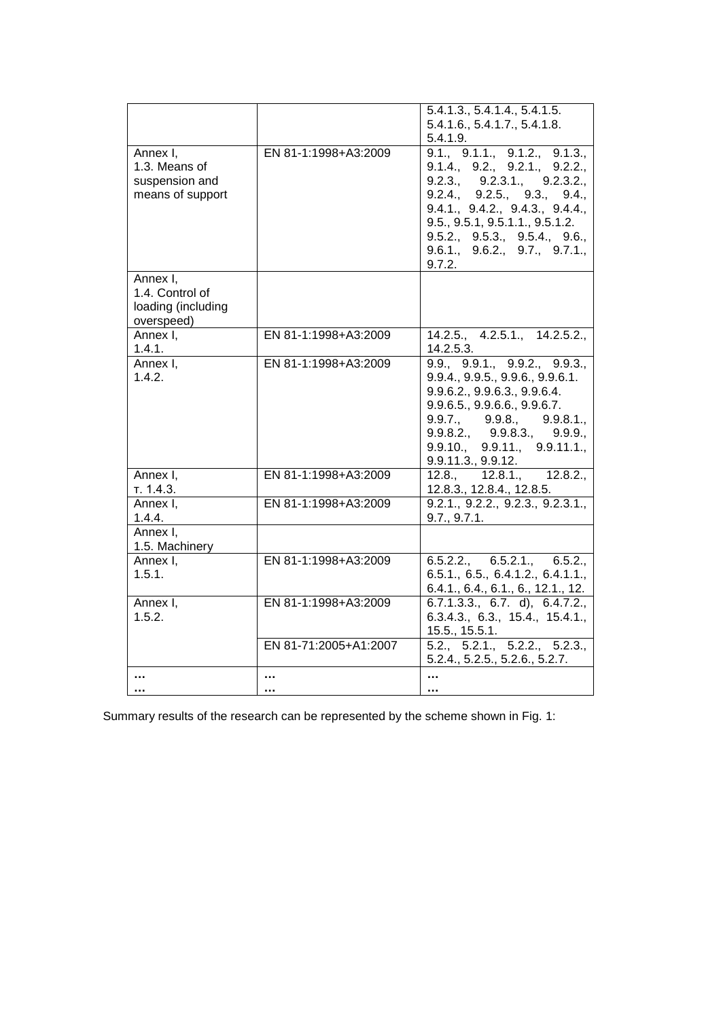|                    |                       | 5.4.1.3., 5.4.1.4., 5.4.1.5.                                                                               |
|--------------------|-----------------------|------------------------------------------------------------------------------------------------------------|
|                    |                       | 5.4.1.6., 5.4.1.7., 5.4.1.8.                                                                               |
|                    |                       | 5.4.1.9.                                                                                                   |
| Annex I,           | EN 81-1:1998+A3:2009  | 9.1., 9.1.1., 9.1.2., 9.1.3.,                                                                              |
| 1.3. Means of      |                       | 9.1.4, 9.2, 9.2.1, 9.2.2,                                                                                  |
| suspension and     |                       | 9.2.3., 9.2.3.1., 9.2.3.2.,                                                                                |
| means of support   |                       | 9.2.4., 9.2.5., 9.3., 9.4.,                                                                                |
|                    |                       | 9.4.1, 9.4.2, 9.4.3, 9.4.4,                                                                                |
|                    |                       | 9.5., 9.5.1, 9.5.1.1., 9.5.1.2.                                                                            |
|                    |                       | 9.5.2., 9.5.3., 9.5.4., 9.6.,                                                                              |
|                    |                       | 9.6.1, 9.6.2, 9.7, 9.7.1,                                                                                  |
|                    |                       | 9.7.2.                                                                                                     |
| Annex I,           |                       |                                                                                                            |
| 1.4. Control of    |                       |                                                                                                            |
| loading (including |                       |                                                                                                            |
| overspeed)         |                       |                                                                                                            |
| Annex I,           | EN 81-1:1998+A3:2009  | 14.2.5., 4.2.5.1., 14.2.5.2.,                                                                              |
| 1.4.1.             |                       | 14.2.5.3.                                                                                                  |
| Annex I,           | EN 81-1:1998+A3:2009  | 9.9., 9.9.1., 9.9.2., 9.9.3.,                                                                              |
| 1.4.2.             |                       | 9.9.4., 9.9.5., 9.9.6., 9.9.6.1.                                                                           |
|                    |                       | 9.9.6.2., 9.9.6.3., 9.9.6.4.                                                                               |
|                    |                       | $9.9.6.5$ ., $9.9.6.6$ ., $9.9.6.7$ .                                                                      |
|                    |                       | $9.9.7.,$ $9.9.8.,$ $9.9.8.1.,$<br>$9.9.8.2.,$ $9.9.8.3.,$ $9.9.9.,$<br>$9.9.10.,$ $9.9.11.,$ $9.9.11.1.,$ |
|                    |                       |                                                                                                            |
|                    |                       |                                                                                                            |
|                    |                       | 9.9.11.3, 9.9.12.                                                                                          |
| Annex I,           | EN 81-1:1998+A3:2009  | $12.8$ ., $12.8.\overline{1}$ ., $12.8.2$ .                                                                |
| т. 1.4.3.          |                       | 12.8.3., 12.8.4., 12.8.5.                                                                                  |
| Annex I.           | EN 81-1:1998+A3:2009  | 9.2.1, 9.2.2, 9.2.3, 9.2.3.1,                                                                              |
| 1.4.4.             |                       | 9.7., 9.7.1.                                                                                               |
| Annex I,           |                       |                                                                                                            |
| 1.5. Machinery     |                       |                                                                                                            |
| Annex I,           | EN 81-1:1998+A3:2009  | 6.5.2.2., 6.5.2.1., 6.5.2.,                                                                                |
| 1.5.1.             |                       | 6.5.1., 6.5., 6.4.1.2., 6.4.1.1.,                                                                          |
|                    |                       | 6.4.1., 6.4., 6.1., 6., 12.1., 12.                                                                         |
| Annex I,           | EN 81-1:1998+A3:2009  | $6.7.1.3.3$ ., $6.7. d$ , $6.4.7.2$ .                                                                      |
| 1.5.2.             |                       | 6.3.4.3., 6.3., 15.4., 15.4.1.,                                                                            |
|                    |                       | 15.5., 15.5.1.                                                                                             |
|                    | EN 81-71:2005+A1:2007 | 5.2., 5.2.1., 5.2.2., 5.2.3.,                                                                              |
|                    |                       | 5.2.4., 5.2.5., 5.2.6., 5.2.7.                                                                             |
|                    |                       |                                                                                                            |
|                    |                       |                                                                                                            |

Summary results of the research can be represented by the scheme shown in Fig. 1: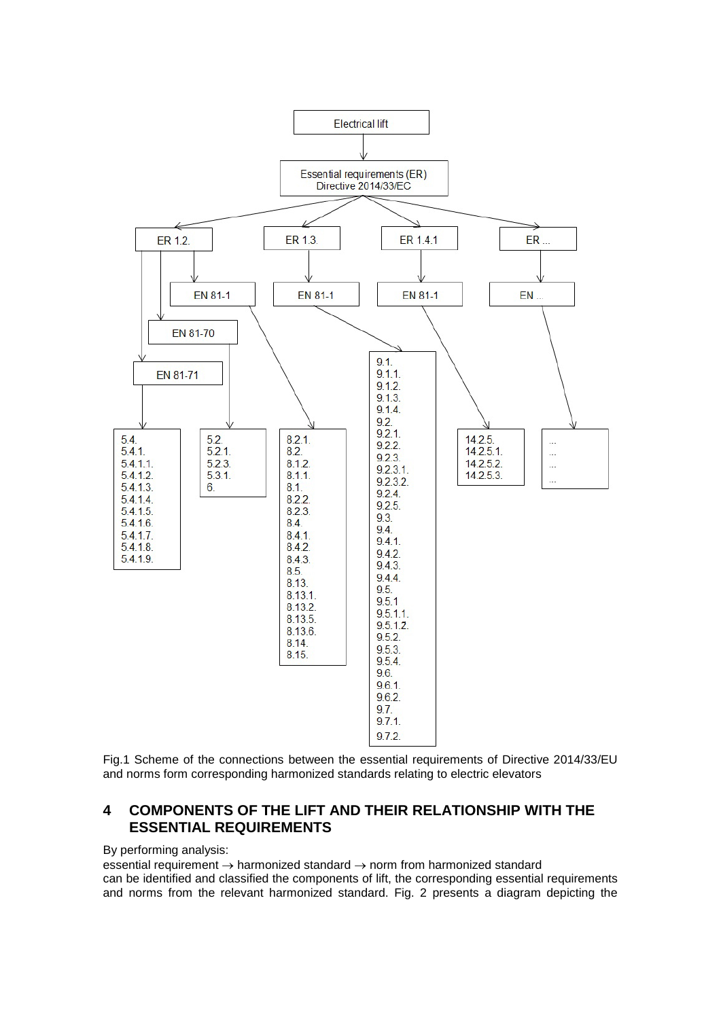

Fig.1 Scheme of the connections between the essential requirements of Directive 2014/33/EU and norms form corresponding harmonized standards relating to electric elevators

# **4 COMPONENTS OF THE LIFT AND THEIR RELATIONSHIP WITH THE ESSENTIAL REQUIREMENTS**

#### By performing analysis:

essential requirement → harmonized standard → norm from harmonized standard can be identified and classified the components of lift, the corresponding essential requirements and norms from the relevant harmonized standard. Fig. 2 presents a diagram depicting the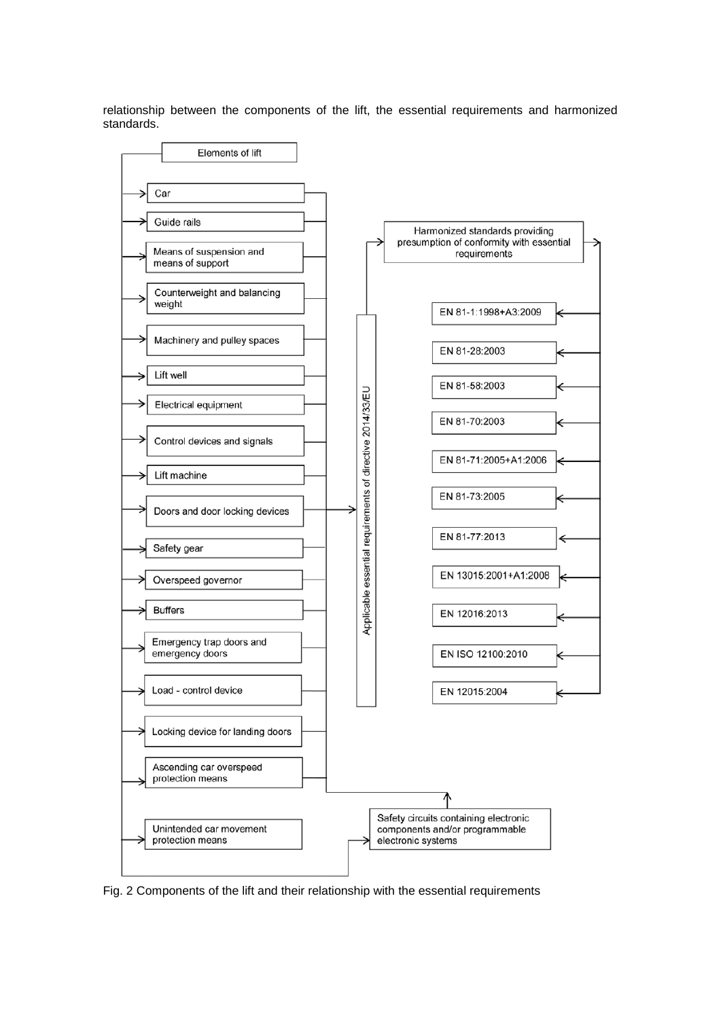relationship between the components of the lift, the essential requirements and harmonized standards.



Fig. 2 Components of the lift and their relationship with the essential requirements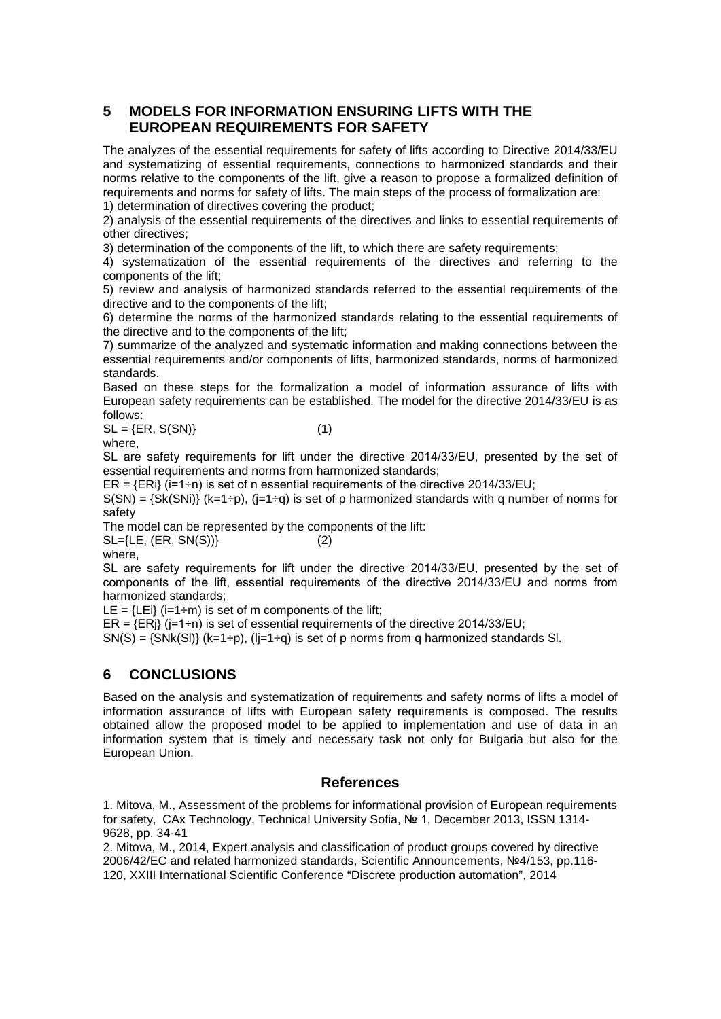# **5 MODELS FOR INFORMATION ENSURING LIFTS WITH THE EUROPEAN REQUIREMENTS FOR SAFETY**

The analyzes of the essential requirements for safety of lifts according to Directive 2014/33/EU and systematizing of essential requirements, connections to harmonized standards and their norms relative to the components of the lift, give a reason to propose a formalized definition of requirements and norms for safety of lifts. The main steps of the process of formalization are:

1) determination of directives covering the product;

2) analysis of the essential requirements of the directives and links to essential requirements of other directives;

3) determination of the components of the lift, to which there are safety requirements;

4) systematization of the essential requirements of the directives and referring to the components of the lift;

5) review and analysis of harmonized standards referred to the essential requirements of the directive and to the components of the lift;

6) determine the norms of the harmonized standards relating to the essential requirements of the directive and to the components of the lift;

7) summarize of the analyzed and systematic information and making connections between the essential requirements and/or components of lifts, harmonized standards, norms of harmonized standards.

Based on these steps for the formalization a model of information assurance of lifts with European safety requirements can be established. The model for the directive 2014/33/EU is as follows:

 $SL = \{ER, S(SN)\}\$  (1)

where,

SL are safety requirements for lift under the directive 2014/33/ЕU, presented by the set of essential requirements and norms from harmonized standards;

 $ER = \{ER\}$  (i=1÷n) is set of n essential requirements of the directive 2014/33/EU;

 $S(SN) = {SK(SNi)} (k=1-p), (j=1+q)$  is set of p harmonized standards with q number of norms for safety

The model can be represented by the components of the lift:

 $SL = \{LE, (ER, SN(S))\}$  (2)

where,

SL are safety requirements for lift under the directive 2014/33/ЕU, presented by the set of components of the lift, essential requirements of the directive 2014/33/ЕU and norms from harmonized standards;

LE =  ${LEi}$  (i=1÷m) is set of m components of the lift;

ER =  $\overline{E}$  (i=1÷n) is set of essential requirements of the directive 2014/33/EU;

 $SN(S) = \{SNk(S)\}\ (k=1+p)$ ,  $(l=1+q)$  is set of p norms from q harmonized standards SI.

# **6 CONCLUSIONS**

Based on the analysis and systematization of requirements and safety norms of lifts a model of information assurance of lifts with European safety requirements is composed. The results obtained allow the proposed model to be applied to implementation and use of data in an information system that is timely and necessary task not only for Bulgaria but also for the European Union.

### **References**

1. Mitova, M., Assessment of the problems for informational provision of European requirements for safety, САх Technology, Technical University Sofia, № 1, December 2013, ISSN 1314- 9628, pp. 34-41

2. Mitova, M., 2014, Expert analysis and classification of product groups covered by directive 2006/42/EC and related harmonized standards, Scientific Announcements, №4/153, pp.116- 120, XXIII International Scientific Conference "Discrete production automation", 2014